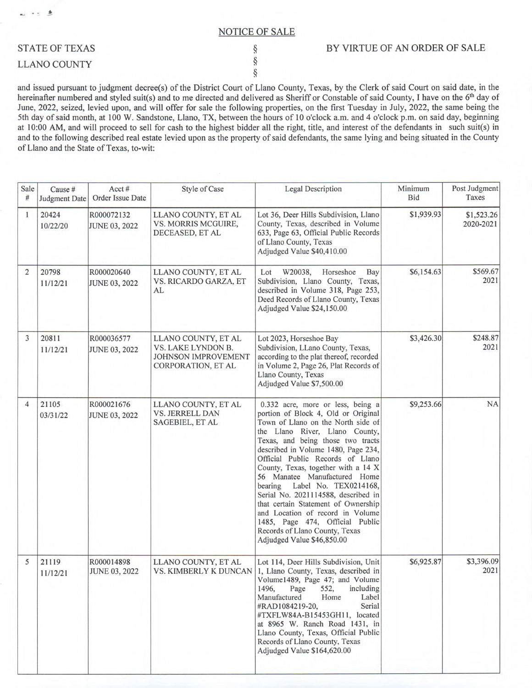## NOTICE OF SALE

§ § §

## STATE OF TEXAS

## LLANO COUNTY

4

 $\star$  5

## BY VIRTUE OF AN ORDER OF SALE

and issued pursuant to judgment decree(s) of the District Court of Llano County, Texas, by the Clerk of said Court on said date, in the hereinafter numbered and styled suit(s) and to me directed and delivered as Sheriff or Constable of said County, I have on the 6<sup>th</sup> day of June, 2022, seized, levied upon, and will offer for sale the following properties, on the first Tuesday in July, 2022, the same being the 5th day of said month, at 100 W. Sandstone, Llano, TX, between the hours of 10 o'clock a.m. and 4 o'clock p.m. on said day, beginning at 10:00 AM, and will proceed to sell for cash to the highest bidder all the right, title, and interest of the defendants in such suit(s) in and to the following described real estate levied upon as the property of said defendants, the same lying and being situated in the County of Llano and the State of Texas, to-wit:

| Sale<br>#      | Cause #<br>Judgment Date | Acct#<br>Order Issue Date          | <b>Style of Case</b>                                                                   | <b>Legal Description</b>                                                                                                                                                                                                                                                                                                                                                                                                                                                                                                                                                                         | Minimum<br><b>Bid</b> | Post Judgment<br>Taxes  |
|----------------|--------------------------|------------------------------------|----------------------------------------------------------------------------------------|--------------------------------------------------------------------------------------------------------------------------------------------------------------------------------------------------------------------------------------------------------------------------------------------------------------------------------------------------------------------------------------------------------------------------------------------------------------------------------------------------------------------------------------------------------------------------------------------------|-----------------------|-------------------------|
| 1              | 20424<br>10/22/20        | R000072132<br><b>JUNE 03, 2022</b> | LLANO COUNTY, ET AL<br>VS. MORRIS MCGUIRE,<br>DECEASED, ET AL                          | Lot 36, Deer Hills Subdivision, Llano<br>County, Texas, described in Volume<br>633, Page 63, Official Public Records<br>of Llano County, Texas<br>Adjudged Value \$40,410.00                                                                                                                                                                                                                                                                                                                                                                                                                     | \$1,939.93            | \$1,523.26<br>2020-2021 |
| $\overline{2}$ | 20798<br>11/12/21        | R000020640<br><b>JUNE 03, 2022</b> | LLANO COUNTY, ET AL<br>VS. RICARDO GARZA, ET<br>AL                                     | W20038,<br>Horseshoe<br>Bay<br>Lot<br>Subdivision, Llano County, Texas,<br>described in Volume 318, Page 253,<br>Deed Records of Llano County, Texas<br>Adjudged Value \$24,150.00                                                                                                                                                                                                                                                                                                                                                                                                               | \$6,154.63            | \$569.67<br>2021        |
| 3              | 20811<br>11/12/21        | R000036577<br><b>JUNE 03, 2022</b> | LLANO COUNTY, ET AL<br>VS. LAKE LYNDON B.<br>JOHNSON IMPROVEMENT<br>CORPORATION, ET AL | Lot 2023, Horseshoe Bay<br>Subdivision, LLano County, Texas,<br>according to the plat thereof, recorded<br>in Volume 2, Page 26, Plat Records of<br>Llano County, Texas<br>Adjudged Value \$7,500.00                                                                                                                                                                                                                                                                                                                                                                                             | \$3,426.30            | \$248.87<br>2021        |
| $\overline{4}$ | 21105<br>03/31/22        | R000021676<br><b>JUNE 03, 2022</b> | LLANO COUNTY, ET AL<br><b>VS. JERRELL DAN</b><br>SAGEBIEL, ET AL                       | 0.332 acre, more or less, being a<br>portion of Block 4, Old or Original<br>Town of Llano on the North side of<br>the Llano River, Llano County,<br>Texas, and being those two tracts<br>described in Volume 1480, Page 234,<br>Official Public Records of Llano<br>County, Texas, together with a 14 X<br>56 Manatee Manufactured Home<br>Label No. TEX0214168,<br>bearing<br>Serial No. 2021114588, described in<br>that certain Statement of Ownership<br>and Location of record in Volume<br>1485, Page 474, Official Public<br>Records of Llano County, Texas<br>Adjudged Value \$46,850.00 | \$9,253.66            | <b>NA</b>               |
| 5              | 21119<br>11/12/21        | R000014898<br><b>JUNE 03, 2022</b> | LLANO COUNTY, ET AL<br><b>VS. KIMBERLY K DUNCAN</b>                                    | Lot 114, Deer Hills Subdivision, Unit<br>1, Llano County, Texas, described in<br>Volume1489, Page 47; and Volume<br>1496,<br>Page<br>552,<br>including<br>Manufactured<br>Label<br>Home<br>Serial<br>#RAD1084219-20,<br>#TXFLW84A-B15453GH11, located<br>at 8965 W. Ranch Road 1431, in<br>Llano County, Texas, Official Public<br>Records of Llano County, Texas<br>Adjudged Value \$164,620.00                                                                                                                                                                                                 | \$6,925.87            | \$3,396.09<br>2021      |